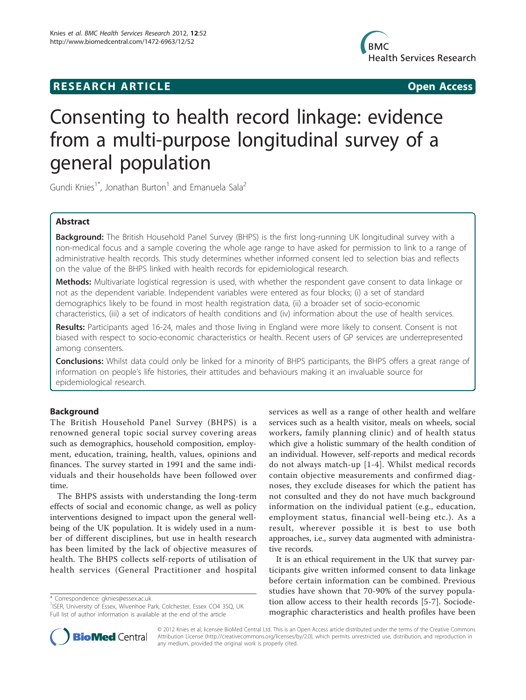## **RESEARCH ARTICLE Example 2014 CONSUMING ACCESS**



# Consenting to health record linkage: evidence from a multi-purpose longitudinal survey of a general population

Gundi Knies<sup>1\*</sup>, Jonathan Burton<sup>1</sup> and Emanuela Sala<sup>2</sup>

## Abstract

**Background:** The British Household Panel Survey (BHPS) is the first long-running UK longitudinal survey with a non-medical focus and a sample covering the whole age range to have asked for permission to link to a range of administrative health records. This study determines whether informed consent led to selection bias and reflects on the value of the BHPS linked with health records for epidemiological research.

Methods: Multivariate logistical regression is used, with whether the respondent gave consent to data linkage or not as the dependent variable. Independent variables were entered as four blocks; (i) a set of standard demographics likely to be found in most health registration data, (ii) a broader set of socio-economic characteristics, (iii) a set of indicators of health conditions and (iv) information about the use of health services.

Results: Participants aged 16-24, males and those living in England were more likely to consent. Consent is not biased with respect to socio-economic characteristics or health. Recent users of GP services are underrepresented among consenters.

**Conclusions:** Whilst data could only be linked for a minority of BHPS participants, the BHPS offers a great range of information on people's life histories, their attitudes and behaviours making it an invaluable source for epidemiological research.

## Background

The British Household Panel Survey (BHPS) is a renowned general topic social survey covering areas such as demographics, household composition, employment, education, training, health, values, opinions and finances. The survey started in 1991 and the same individuals and their households have been followed over time.

The BHPS assists with understanding the long-term effects of social and economic change, as well as policy interventions designed to impact upon the general wellbeing of the UK population. It is widely used in a number of different disciplines, but use in health research has been limited by the lack of objective measures of health. The BHPS collects self-reports of utilisation of health services (General Practitioner and hospital

\* Correspondence: [gknies@essex.ac.uk](mailto:gknies@essex.ac.uk)

services as well as a range of other health and welfare services such as a health visitor, meals on wheels, social workers, family planning clinic) and of health status which give a holistic summary of the health condition of an individual. However, self-reports and medical records do not always match-up [[1-4\]](#page-4-0). Whilst medical records contain objective measurements and confirmed diagnoses, they exclude diseases for which the patient has not consulted and they do not have much background information on the individual patient (e.g., education, employment status, financial well-being etc.). As a result, wherever possible it is best to use both approaches, i.e., survey data augmented with administrative records.

It is an ethical requirement in the UK that survey participants give written informed consent to data linkage before certain information can be combined. Previous studies have shown that 70-90% of the survey population allow access to their health records [\[5](#page-4-0)-[7\]](#page-4-0). Sociodemographic characteristics and health profiles have been



© 2012 Knies et al; licensee BioMed Central Ltd. This is an Open Access article distributed under the terms of the Creative Commons Attribution License [\(http://creativecommons.org/licenses/by/2.0](http://creativecommons.org/licenses/by/2.0)), which permits unrestricted use, distribution, and reproduction in any medium, provided the original work is properly cited.

<sup>&</sup>lt;sup>1</sup>ISER, University of Essex, Wivenhoe Park, Colchester, Essex CO4 3SQ, UK Full list of author information is available at the end of the article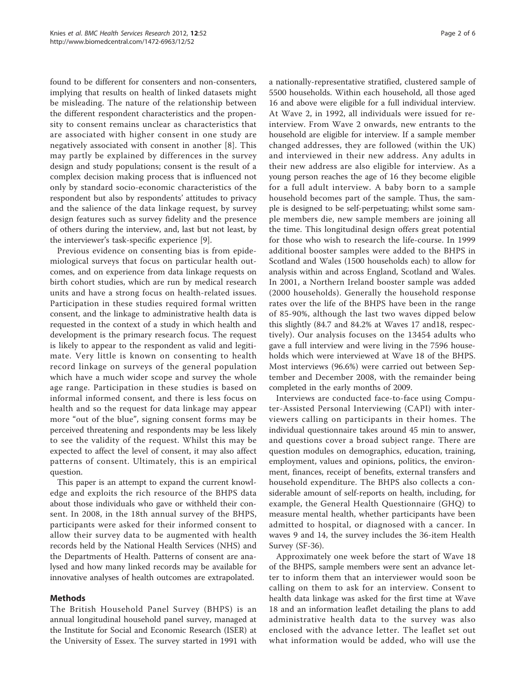found to be different for consenters and non-consenters, implying that results on health of linked datasets might be misleading. The nature of the relationship between the different respondent characteristics and the propensity to consent remains unclear as characteristics that are associated with higher consent in one study are negatively associated with consent in another [[8\]](#page-5-0). This may partly be explained by differences in the survey design and study populations; consent is the result of a complex decision making process that is influenced not only by standard socio-economic characteristics of the respondent but also by respondents' attitudes to privacy and the salience of the data linkage request, by survey design features such as survey fidelity and the presence of others during the interview, and, last but not least, by the interviewer's task-specific experience [[9\]](#page-5-0).

Previous evidence on consenting bias is from epidemiological surveys that focus on particular health outcomes, and on experience from data linkage requests on birth cohort studies, which are run by medical research units and have a strong focus on health-related issues. Participation in these studies required formal written consent, and the linkage to administrative health data is requested in the context of a study in which health and development is the primary research focus. The request is likely to appear to the respondent as valid and legitimate. Very little is known on consenting to health record linkage on surveys of the general population which have a much wider scope and survey the whole age range. Participation in these studies is based on informal informed consent, and there is less focus on health and so the request for data linkage may appear more "out of the blue", signing consent forms may be perceived threatening and respondents may be less likely to see the validity of the request. Whilst this may be expected to affect the level of consent, it may also affect patterns of consent. Ultimately, this is an empirical question.

This paper is an attempt to expand the current knowledge and exploits the rich resource of the BHPS data about those individuals who gave or withheld their consent. In 2008, in the 18th annual survey of the BHPS, participants were asked for their informed consent to allow their survey data to be augmented with health records held by the National Health Services (NHS) and the Departments of Health. Patterns of consent are analysed and how many linked records may be available for innovative analyses of health outcomes are extrapolated.

## Methods

The British Household Panel Survey (BHPS) is an annual longitudinal household panel survey, managed at the Institute for Social and Economic Research (ISER) at the University of Essex. The survey started in 1991 with a nationally-representative stratified, clustered sample of 5500 households. Within each household, all those aged 16 and above were eligible for a full individual interview. At Wave 2, in 1992, all individuals were issued for reinterview. From Wave 2 onwards, new entrants to the household are eligible for interview. If a sample member changed addresses, they are followed (within the UK) and interviewed in their new address. Any adults in their new address are also eligible for interview. As a young person reaches the age of 16 they become eligible for a full adult interview. A baby born to a sample household becomes part of the sample. Thus, the sample is designed to be self-perpetuating; whilst some sample members die, new sample members are joining all the time. This longitudinal design offers great potential for those who wish to research the life-course. In 1999 additional booster samples were added to the BHPS in Scotland and Wales (1500 households each) to allow for analysis within and across England, Scotland and Wales. In 2001, a Northern Ireland booster sample was added (2000 households). Generally the household response rates over the life of the BHPS have been in the range of 85-90%, although the last two waves dipped below this slightly (84.7 and 84.2% at Waves 17 and18, respectively). Our analysis focuses on the 13454 adults who gave a full interview and were living in the 7596 households which were interviewed at Wave 18 of the BHPS. Most interviews (96.6%) were carried out between September and December 2008, with the remainder being completed in the early months of 2009.

Interviews are conducted face-to-face using Computer-Assisted Personal Interviewing (CAPI) with interviewers calling on participants in their homes. The individual questionnaire takes around 45 min to answer, and questions cover a broad subject range. There are question modules on demographics, education, training, employment, values and opinions, politics, the environment, finances, receipt of benefits, external transfers and household expenditure. The BHPS also collects a considerable amount of self-reports on health, including, for example, the General Health Questionnaire (GHQ) to measure mental health, whether participants have been admitted to hospital, or diagnosed with a cancer. In waves 9 and 14, the survey includes the 36-item Health Survey (SF-36).

Approximately one week before the start of Wave 18 of the BHPS, sample members were sent an advance letter to inform them that an interviewer would soon be calling on them to ask for an interview. Consent to health data linkage was asked for the first time at Wave 18 and an information leaflet detailing the plans to add administrative health data to the survey was also enclosed with the advance letter. The leaflet set out what information would be added, who will use the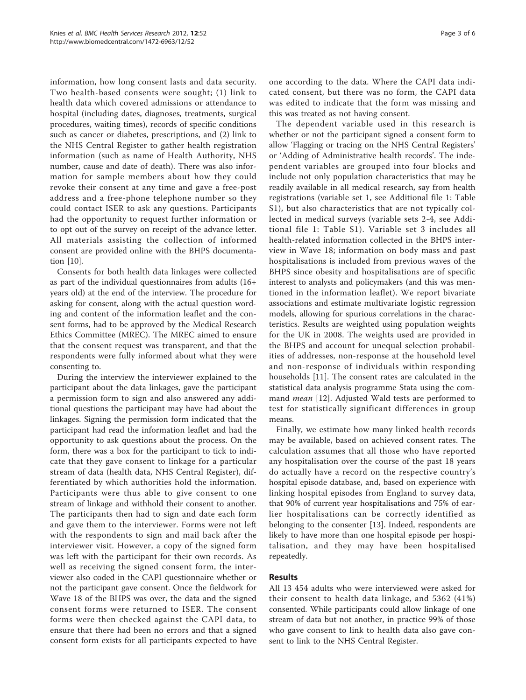information, how long consent lasts and data security. Two health-based consents were sought; (1) link to health data which covered admissions or attendance to hospital (including dates, diagnoses, treatments, surgical procedures, waiting times), records of specific conditions such as cancer or diabetes, prescriptions, and (2) link to the NHS Central Register to gather health registration information (such as name of Health Authority, NHS number, cause and date of death). There was also information for sample members about how they could revoke their consent at any time and gave a free-post address and a free-phone telephone number so they could contact ISER to ask any questions. Participants had the opportunity to request further information or to opt out of the survey on receipt of the advance letter. All materials assisting the collection of informed consent are provided online with the BHPS documentation [\[10](#page-5-0)].

Consents for both health data linkages were collected as part of the individual questionnaires from adults (16+ years old) at the end of the interview. The procedure for asking for consent, along with the actual question wording and content of the information leaflet and the consent forms, had to be approved by the Medical Research Ethics Committee (MREC). The MREC aimed to ensure that the consent request was transparent, and that the respondents were fully informed about what they were consenting to.

During the interview the interviewer explained to the participant about the data linkages, gave the participant a permission form to sign and also answered any additional questions the participant may have had about the linkages. Signing the permission form indicated that the participant had read the information leaflet and had the opportunity to ask questions about the process. On the form, there was a box for the participant to tick to indicate that they gave consent to linkage for a particular stream of data (health data, NHS Central Register), differentiated by which authorities hold the information. Participants were thus able to give consent to one stream of linkage and withhold their consent to another. The participants then had to sign and date each form and gave them to the interviewer. Forms were not left with the respondents to sign and mail back after the interviewer visit. However, a copy of the signed form was left with the participant for their own records. As well as receiving the signed consent form, the interviewer also coded in the CAPI questionnaire whether or not the participant gave consent. Once the fieldwork for Wave 18 of the BHPS was over, the data and the signed consent forms were returned to ISER. The consent forms were then checked against the CAPI data, to ensure that there had been no errors and that a signed consent form exists for all participants expected to have

one according to the data. Where the CAPI data indicated consent, but there was no form, the CAPI data was edited to indicate that the form was missing and this was treated as not having consent.

The dependent variable used in this research is whether or not the participant signed a consent form to allow 'Flagging or tracing on the NHS Central Registers' or 'Adding of Administrative health records'. The independent variables are grouped into four blocks and include not only population characteristics that may be readily available in all medical research, say from health registrations (variable set 1, see Additional file [1:](#page-4-0) Table S1), but also characteristics that are not typically collected in medical surveys (variable sets 2-4, see Additional file [1](#page-4-0): Table S1). Variable set 3 includes all health-related information collected in the BHPS interview in Wave 18; information on body mass and past hospitalisations is included from previous waves of the BHPS since obesity and hospitalisations are of specific interest to analysts and policymakers (and this was mentioned in the information leaflet). We report bivariate associations and estimate multivariate logistic regression models, allowing for spurious correlations in the characteristics. Results are weighted using population weights for the UK in 2008. The weights used are provided in the BHPS and account for unequal selection probabilities of addresses, non-response at the household level and non-response of individuals within responding households [\[11](#page-5-0)]. The consent rates are calculated in the statistical data analysis programme Stata using the command *mean* [[12\]](#page-5-0). Adjusted Wald tests are performed to test for statistically significant differences in group means.

Finally, we estimate how many linked health records may be available, based on achieved consent rates. The calculation assumes that all those who have reported any hospitalisation over the course of the past 18 years do actually have a record on the respective country's hospital episode database, and, based on experience with linking hospital episodes from England to survey data, that 90% of current year hospitalisations and 75% of earlier hospitalisations can be correctly identified as belonging to the consenter [[13](#page-5-0)]. Indeed, respondents are likely to have more than one hospital episode per hospitalisation, and they may have been hospitalised repeatedly.

## Results

All 13 454 adults who were interviewed were asked for their consent to health data linkage, and 5362 (41%) consented. While participants could allow linkage of one stream of data but not another, in practice 99% of those who gave consent to link to health data also gave consent to link to the NHS Central Register.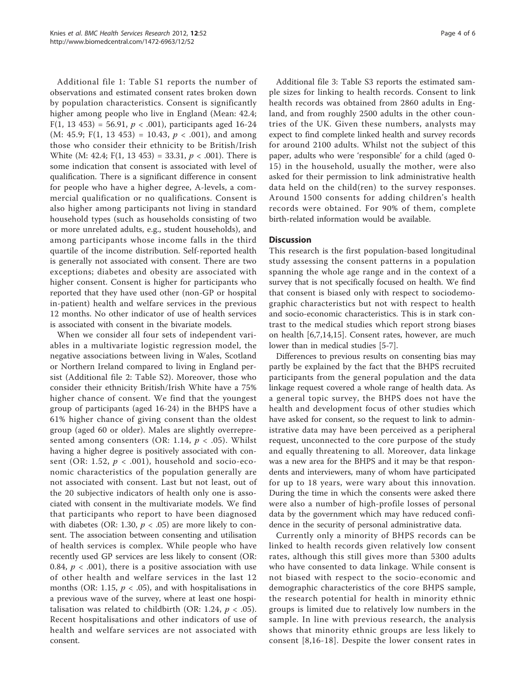Additional file [1:](#page-4-0) Table S1 reports the number of observations and estimated consent rates broken down by population characteristics. Consent is significantly higher among people who live in England (Mean: 42.4; F(1, 13 453) = 56.91,  $p < .001$ ), participants aged 16-24  $(M: 45.9; F(1, 13 453) = 10.43, p < .001)$ , and among those who consider their ethnicity to be British/Irish White (M: 42.4; F(1, 13 453) = 33.31,  $p < .001$ ). There is some indication that consent is associated with level of qualification. There is a significant difference in consent for people who have a higher degree, A-levels, a commercial qualification or no qualifications. Consent is also higher among participants not living in standard household types (such as households consisting of two or more unrelated adults, e.g., student households), and among participants whose income falls in the third quartile of the income distribution. Self-reported health is generally not associated with consent. There are two exceptions; diabetes and obesity are associated with higher consent. Consent is higher for participants who reported that they have used other (non-GP or hospital in-patient) health and welfare services in the previous 12 months. No other indicator of use of health services is associated with consent in the bivariate models.

When we consider all four sets of independent variables in a multivariate logistic regression model, the negative associations between living in Wales, Scotland or Northern Ireland compared to living in England persist (Additional file [2](#page-4-0): Table S2). Moreover, those who consider their ethnicity British/Irish White have a 75% higher chance of consent. We find that the youngest group of participants (aged 16-24) in the BHPS have a 61% higher chance of giving consent than the oldest group (aged 60 or older). Males are slightly overrepresented among consenters (OR: 1.14,  $p < .05$ ). Whilst having a higher degree is positively associated with consent (OR: 1.52,  $p < .001$ ), household and socio-economic characteristics of the population generally are not associated with consent. Last but not least, out of the 20 subjective indicators of health only one is associated with consent in the multivariate models. We find that participants who report to have been diagnosed with diabetes (OR: 1.30,  $p < .05$ ) are more likely to consent. The association between consenting and utilisation of health services is complex. While people who have recently used GP services are less likely to consent (OR: 0.84,  $p < .001$ ), there is a positive association with use of other health and welfare services in the last 12 months (OR: 1.15,  $p < .05$ ), and with hospitalisations in a previous wave of the survey, where at least one hospitalisation was related to childbirth (OR: 1.24,  $p < .05$ ). Recent hospitalisations and other indicators of use of health and welfare services are not associated with consent.

Additional file [3:](#page-4-0) Table S3 reports the estimated sample sizes for linking to health records. Consent to link health records was obtained from 2860 adults in England, and from roughly 2500 adults in the other countries of the UK. Given these numbers, analysts may expect to find complete linked health and survey records for around 2100 adults. Whilst not the subject of this paper, adults who were 'responsible' for a child (aged 0- 15) in the household, usually the mother, were also asked for their permission to link administrative health data held on the child(ren) to the survey responses. Around 1500 consents for adding children's health records were obtained. For 90% of them, complete birth-related information would be available.

## **Discussion**

This research is the first population-based longitudinal study assessing the consent patterns in a population spanning the whole age range and in the context of a survey that is not specifically focused on health. We find that consent is biased only with respect to sociodemographic characteristics but not with respect to health and socio-economic characteristics. This is in stark contrast to the medical studies which report strong biases on health [[6,7,](#page-4-0)[14,15](#page-5-0)]. Consent rates, however, are much lower than in medical studies [\[5](#page-4-0)-[7\]](#page-4-0).

Differences to previous results on consenting bias may partly be explained by the fact that the BHPS recruited participants from the general population and the data linkage request covered a whole range of health data. As a general topic survey, the BHPS does not have the health and development focus of other studies which have asked for consent, so the request to link to administrative data may have been perceived as a peripheral request, unconnected to the core purpose of the study and equally threatening to all. Moreover, data linkage was a new area for the BHPS and it may be that respondents and interviewers, many of whom have participated for up to 18 years, were wary about this innovation. During the time in which the consents were asked there were also a number of high-profile losses of personal data by the government which may have reduced confidence in the security of personal administrative data.

Currently only a minority of BHPS records can be linked to health records given relatively low consent rates, although this still gives more than 5300 adults who have consented to data linkage. While consent is not biased with respect to the socio-economic and demographic characteristics of the core BHPS sample, the research potential for health in minority ethnic groups is limited due to relatively low numbers in the sample. In line with previous research, the analysis shows that minority ethnic groups are less likely to consent [\[8,16-18\]](#page-5-0). Despite the lower consent rates in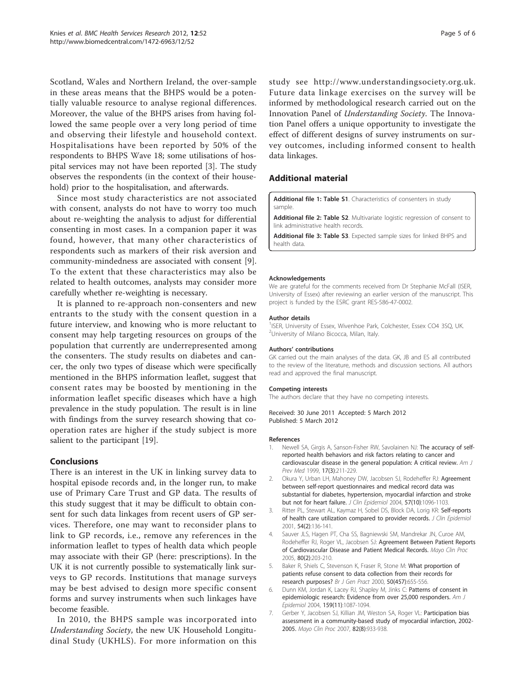<span id="page-4-0"></span>Scotland, Wales and Northern Ireland, the over-sample in these areas means that the BHPS would be a potentially valuable resource to analyse regional differences. Moreover, the value of the BHPS arises from having followed the same people over a very long period of time and observing their lifestyle and household context. Hospitalisations have been reported by 50% of the respondents to BHPS Wave 18; some utilisations of hospital services may not have been reported [3]. The study observes the respondents (in the context of their household) prior to the hospitalisation, and afterwards.

Since most study characteristics are not associated with consent, analysts do not have to worry too much about re-weighting the analysis to adjust for differential consenting in most cases. In a companion paper it was found, however, that many other characteristics of respondents such as markers of their risk aversion and community-mindedness are associated with consent [\[9](#page-5-0)]. To the extent that these characteristics may also be related to health outcomes, analysts may consider more carefully whether re-weighting is necessary.

It is planned to re-approach non-consenters and new entrants to the study with the consent question in a future interview, and knowing who is more reluctant to consent may help targeting resources on groups of the population that currently are underrepresented among the consenters. The study results on diabetes and cancer, the only two types of disease which were specifically mentioned in the BHPS information leaflet, suggest that consent rates may be boosted by mentioning in the information leaflet specific diseases which have a high prevalence in the study population. The result is in line with findings from the survey research showing that cooperation rates are higher if the study subject is more salient to the participant [[19\]](#page-5-0).

## Conclusions

There is an interest in the UK in linking survey data to hospital episode records and, in the longer run, to make use of Primary Care Trust and GP data. The results of this study suggest that it may be difficult to obtain consent for such data linkages from recent users of GP services. Therefore, one may want to reconsider plans to link to GP records, i.e., remove any references in the information leaflet to types of health data which people may associate with their GP (here: prescriptions). In the UK it is not currently possible to systematically link surveys to GP records. Institutions that manage surveys may be best advised to design more specific consent forms and survey instruments when such linkages have become feasible.

In 2010, the BHPS sample was incorporated into Understanding Society, the new UK Household Longitudinal Study (UKHLS). For more information on this study see<http://www.understandingsociety.org.uk>. Future data linkage exercises on the survey will be informed by methodological research carried out on the Innovation Panel of Understanding Society. The Innovation Panel offers a unique opportunity to investigate the effect of different designs of survey instruments on survey outcomes, including informed consent to health data linkages.

## Additional material

[Additional file 1: T](http://www.biomedcentral.com/content/supplementary/1472-6963-12-52-S1.XLSX)able S1. Characteristics of consenters in study sample.

[Additional file 2: T](http://www.biomedcentral.com/content/supplementary/1472-6963-12-52-S2.XLSX)able S2. Multivariate logistic regression of consent to link administrative health records.

[Additional file 3: T](http://www.biomedcentral.com/content/supplementary/1472-6963-12-52-S3.XLSX)able S3. Expected sample sizes for linked BHPS and health data.

#### Acknowledgements

We are grateful for the comments received from Dr Stephanie McFall (ISER, University of Essex) after reviewing an earlier version of the manuscript. This project is funded by the ESRC grant RES-586-47-0002.

#### Author details

<sup>1</sup>ISER, University of Essex, Wivenhoe Park, Colchester, Essex CO4 3SQ, UK 2 University of Milano Bicocca, Milan, Italy.

#### Authors' contributions

GK carried out the main analyses of the data. GK, JB and ES all contributed to the review of the literature, methods and discussion sections. All authors read and approved the final manuscript.

#### Competing interests

The authors declare that they have no competing interests.

Received: 30 June 2011 Accepted: 5 March 2012 Published: 5 March 2012

#### References

- Newell SA, Girgis A, Sanson-Fisher RW, Savolainen NJ: [The accuracy of self](http://www.ncbi.nlm.nih.gov/pubmed/10987638?dopt=Abstract)[reported health behaviors and risk factors relating to cancer and](http://www.ncbi.nlm.nih.gov/pubmed/10987638?dopt=Abstract) [cardiovascular disease in the general population: A critical review.](http://www.ncbi.nlm.nih.gov/pubmed/10987638?dopt=Abstract) Am J Prev Med 1999, 17(3):211-229.
- 2. Okura Y, Urban LH, Mahoney DW, Jacobsen SJ, Rodeheffer RJ: [Agreement](http://www.ncbi.nlm.nih.gov/pubmed/15528061?dopt=Abstract) [between self-report questionnaires and medical record data was](http://www.ncbi.nlm.nih.gov/pubmed/15528061?dopt=Abstract) [substantial for diabetes, hypertension, myocardial infarction and stroke](http://www.ncbi.nlm.nih.gov/pubmed/15528061?dopt=Abstract) [but not for heart failure.](http://www.ncbi.nlm.nih.gov/pubmed/15528061?dopt=Abstract) J Clin Epidemiol 2004, 57(10):1096-1103.
- 3. Ritter PL, Stewart AL, Kaymaz H, Sobel DS, Block DA, Lorig KR: [Self-reports](http://www.ncbi.nlm.nih.gov/pubmed/11166528?dopt=Abstract) [of health care utilization compared to provider records.](http://www.ncbi.nlm.nih.gov/pubmed/11166528?dopt=Abstract) J Clin Epidemiol 2001, 54(2):136-141.
- 4. Sauver JLS, Hagen PT, Cha SS, Bagniewski SM, Mandrekar JN, Curoe AM, Rodeheffer RJ, Roger VL, Jacobsen SJ: [Agreement Between Patient Reports](http://www.ncbi.nlm.nih.gov/pubmed/15704775?dopt=Abstract) [of Cardiovascular Disease and Patient Medical Records.](http://www.ncbi.nlm.nih.gov/pubmed/15704775?dopt=Abstract) Mayo Clin Proc 2005, 80(2):203-210.
- 5. Baker R, Shiels C, Stevenson K, Fraser R, Stone M: [What proportion of](http://www.ncbi.nlm.nih.gov/pubmed/11042920?dopt=Abstract) [patients refuse consent to data collection from their records for](http://www.ncbi.nlm.nih.gov/pubmed/11042920?dopt=Abstract) [research purposes?](http://www.ncbi.nlm.nih.gov/pubmed/11042920?dopt=Abstract) Br J Gen Pract 2000, 50(457):655-556.
- 6. Dunn KM, Jordan K, Lacey RJ, Shapley M, Jinks C: [Patterns of consent in](http://www.ncbi.nlm.nih.gov/pubmed/15155293?dopt=Abstract) [epidemiologic research: Evidence from over 25,000 responders.](http://www.ncbi.nlm.nih.gov/pubmed/15155293?dopt=Abstract) Am J Epidemiol 2004, 159(11):1087-1094.
- 7. Gerber Y, Jacobsen SJ, Killian JM, Weston SA, Roger VL: [Participation bias](http://www.ncbi.nlm.nih.gov/pubmed/17673061?dopt=Abstract) [assessment in a community-based study of myocardial infarction, 2002-](http://www.ncbi.nlm.nih.gov/pubmed/17673061?dopt=Abstract) [2005.](http://www.ncbi.nlm.nih.gov/pubmed/17673061?dopt=Abstract) Mayo Clin Proc 2007, 82(8):933-938.